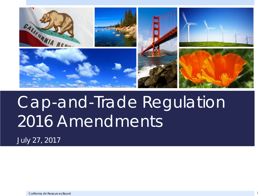

# Cap-and-Trade Regulation 2016 Amendments

*July 27, 2017*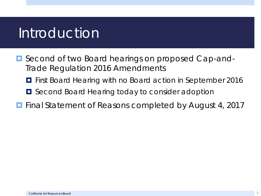#### Introduction

- Second of two Board hearings on proposed Cap-and-Trade Regulation 2016 Amendments
	- $\blacksquare$  First Board Hearing with no Board action in September 2016
	- $\blacksquare$  Second Board Hearing today to consider adoption
- **Final Statement of Reasons completed by August 4, 2017**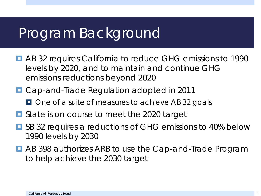#### Program Background

- AB 32 requires California to reduce GHG emissions to 1990 levels by 2020, and to maintain and continue GHG emissions reductions beyond 2020
- Cap-and-Trade Regulation adopted in 2011
	- $\Box$  One of a suite of measures to achieve AB 32 goals
- State is on course to meet the 2020 target
- SB 32 requires a reductions of GHG emissions to 40% below 1990 levels by 2030
- AB 398 authorizes ARB to use the Cap-and-Trade Program to help achieve the 2030 target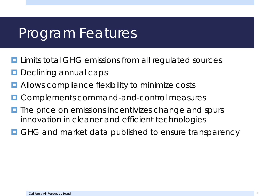#### Program Features

- **L** Limits total GHG emissions from all regulated sources
- Declining annual caps
- **E** Allows compliance flexibility to minimize costs
- Complements command-and-control measures
- $\blacksquare$  The price on emissions incentivizes change and spurs innovation in cleaner and efficient technologies
- GHG and market data published to ensure transparency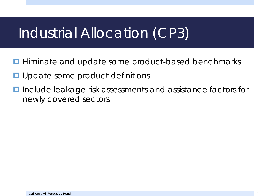### Industrial Allocation (CP3)

- **E** Eliminate and update some product-based benchmarks
- Update some product definitions
- **I** Include leakage risk assessments and assistance factors for newly covered sectors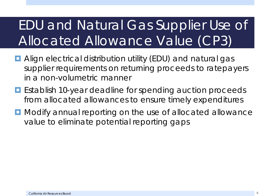## EDU and Natural Gas Supplier Use of Allocated Allowance Value (CP3)

- **E** Align electrical distribution utility (EDU) and natural gas supplier requirements on returning proceeds to ratepayers in a non-volumetric manner
- **E** Establish 10-year deadline for spending auction proceeds from allocated allowances to ensure timely expenditures
- **D** Modify annual reporting on the use of allocated allowance value to eliminate potential reporting gaps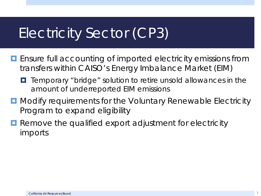## Electricity Sector (CP3)

- **E** Ensure full accounting of imported electricity emissions from transfers within CAISO's Energy Imbalance Market (EIM)
	- $\blacksquare$  Temporary "bridge" solution to retire unsold allowances in the amount of underreported EIM emissions
- **D** Modify requirements for the Voluntary Renewable Electricity Program to expand eligibility
- **Remove the qualified export adjustment for electricity** imports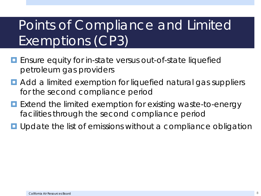## Points of Compliance and Limited Exemptions (CP3)

- **E** Ensure equity for in-state versus out-of-state liquefied petroleum gas providers
- **D** Add a limited exemption for liquefied natural gas suppliers for the second compliance period
- **Extend the limited exemption for existing waste-to-energy** facilities through the second compliance period
- **u** Update the list of emissions without a compliance obligation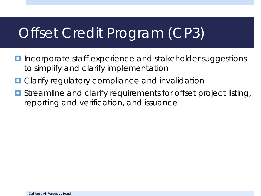## Offset Credit Program (CP3)

- **I** Incorporate staff experience and stakeholder suggestions to simplify and clarify implementation
- **D** Clarify regulatory compliance and invalidation
- **<u>E</u>** Streamline and clarify requirements for offset project listing, reporting and verification, and issuance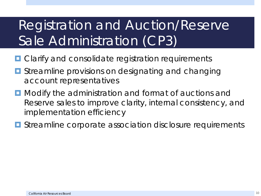### Registration and Auction/Reserve Sale Administration (CP3)

- **O** Clarify and consolidate registration requirements
- **<u>E</u>** Streamline provisions on designating and changing account representatives
- **D** Modify the administration and format of auctions and Reserve sales to improve clarity, internal consistency, and implementation efficiency
- **E** Streamline corporate association disclosure requirements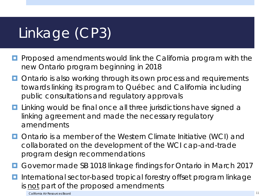## Linkage (CP3)

- **Proposed amendments would link the California program with the** new Ontario program beginning in 2018
- **Ontario is also working through its own process and requirements** towards linking its program to Québec and California including public consultations and regulatory approvals
- **Linking would be final once all three jurisdictions have signed a** linking agreement and made the necessary regulatory amendments
- Ontario is a member of the Western Climate Initiative (WCI) and collaborated on the development of the WCI cap-and-trade program design recommendations
- Governor made SB 1018 linkage findings for Ontario in March 2017
- **I** International sector-based tropical forestry offset program linkage is not part of the proposed amendments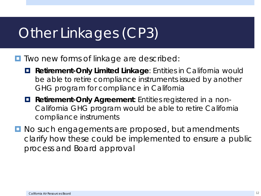### Other Linkages (CP3)

- **T** Two new forms of linkage are described:
	- **Retirement-Only Limited Linkage**: Entities in California would be able to retire compliance instruments issued by another GHG program for compliance in California
	- **Retirement-Only Agreement**: Entities registered in a non-California GHG program would be able to retire California compliance instruments
- **No such engagements are proposed, but amendments** clarify how these could be implemented to ensure a public process and Board approval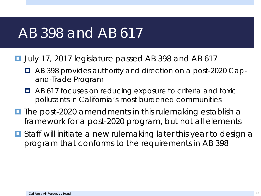#### AB 398 and AB 617

**D** July 17, 2017 legislature passed AB 398 and AB 617

- AB 398 provides authority and direction on a post-2020 Capand-Trade Program
- **AB 617 focuses on reducing exposure to criteria and toxic** pollutants in California's most burdened communities
- $\blacksquare$  The post-2020 amendments in this rulemaking establish a framework for a post-2020 program, but not all elements
- Staff will initiate a new rulemaking later this year to design a program that conforms to the requirements in AB 398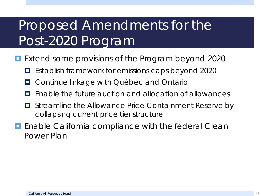#### Proposed Amendments for the Post-2020 Program

- **Extend some provisions of the Program beyond 2020** 
	- **E** Establish framework for emissions caps beyond 2020
	- **D** Continue linkage with Québec and Ontario
	- Enable the future auction and allocation of allowances
	- $\blacksquare$  Streamline the Allowance Price Containment Reserve by collapsing current price tier structure
- **E** Enable California compliance with the federal Clean Power Plan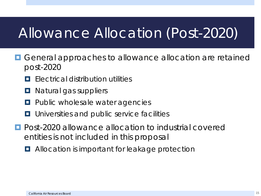## Allowance Allocation (Post-2020)

- **O** General approaches to allowance allocation are retained post-2020
	- **E** Flectrical distribution utilities
	- $\Box$  Natural gas suppliers
	- **Public wholesale water agencies**
	- **<u>E.</u>** Universities and public service facilities
- **Post-2020 allowance allocation to industrial covered** entities is not included in this proposal
	- **E** Allocation is important for leakage protection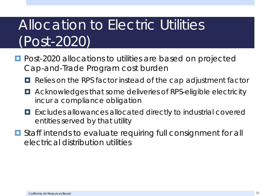## Allocation to Electric Utilities (Post-2020)

- **Post-2020 allocations to utilities are based on projected** Cap-and-Trade Program cost burden
	- **Relies on the RPS factor instead of the cap adjustment factor**
	- Acknowledges that some deliveries of RPS-eligible electricity incur a compliance obligation
	- Excludes allowances allocated directly to industrial covered entities served by that utility
- **O** Staff intends to evaluate requiring full consignment for all electrical distribution utilities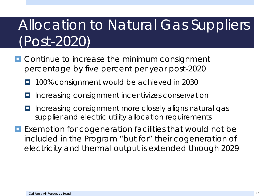## Allocation to Natural Gas Suppliers (Post-2020)

- **O** Continue to increase the minimum consignment percentage by five percent per year post-2020
	- 100% consignment would be achieved in 2030
	- $\blacksquare$  Increasing consignment incentivizes conservation
	- Increasing consignment more closely aligns natural gas supplier and electric utility allocation requirements
- **Exemption for cogeneration facilities that would not be** included in the Program "but for" their cogeneration of electricity and thermal output is extended through 2029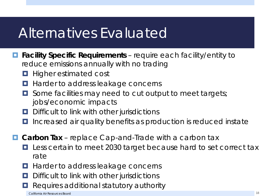#### Alternatives Evaluated

- **Facility Specific Requirements** require each facility/entity to reduce emissions annually with no trading
	- **Higher estimated cost**
	- **Harder to address leakage concerns**
	- $\Box$  Some facilities may need to cut output to meet targets; jobs/economic impacts
	- **D** Difficult to link with other jurisdictions
	- Increased air quality benefits as production is reduced instate
- **Carbon Tax** replace Cap-and-Trade with a carbon tax
	- Less certain to meet 2030 target because hard to set correct tax rate
	- Harder to address leakage concerns
	- D Difficult to link with other jurisdictions
	- Requires additional statutory authority

California Air Resources Board 18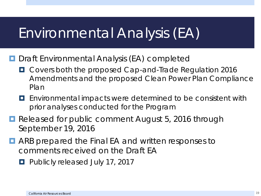#### Environmental Analysis (EA)

- **D** Draft Environmental Analysis (EA) completed
	- **D** Covers both the proposed Cap-and-Trade Regulation 2016 Amendments and the proposed Clean Power Plan Compliance Plan
	- **E** Environmental impacts were determined to be consistent with prior analyses conducted for the Program
- Released for public comment August 5, 2016 through September 19, 2016
- **D** ARB prepared the Final EA and written responses to comments received on the Draft EA
	- **Publicly released July 17, 2017**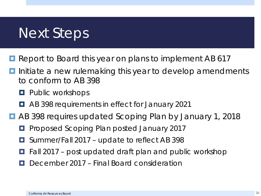#### Next Steps

- Report to Board this year on plans to implement AB 617
- Initiate a new rulemaking this year to develop amendments to conform to AB 398
	- **Public workshops**
	- **AB 398 requirements in effect for January 2021**
- AB 398 requires updated Scoping Plan by January 1, 2018
	- **Proposed Scoping Plan posted January 2017**
	- Summer/Fall 2017 update to reflect AB 398
	- $\Box$  Fall 2017 post updated draft plan and public workshop
	- December 2017 Final Board consideration